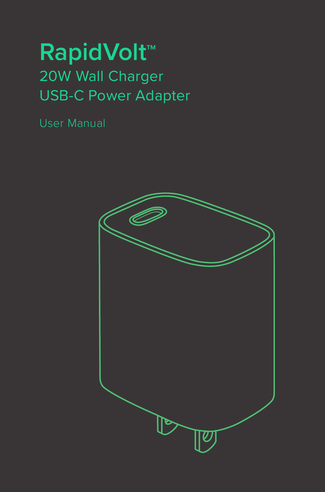## **RapidVolt<sup>™</sup>** 20W Wall Charger USB-C Power Adapter

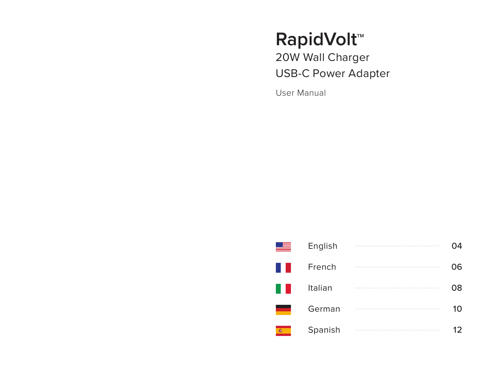# **RapidVolt<sup>™</sup>**

20W Wall Charger USB-C Power Adapter

User Manual

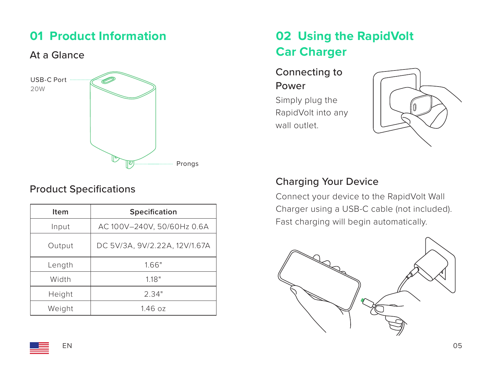## **01 Product Information**

#### At a Glance



#### Product Specifications

| Item   | Specification                 |
|--------|-------------------------------|
| Input  | AC 100V-240V, 50/60Hz 0.6A    |
| Output | DC 5V/3A, 9V/2.22A, 12V/1.67A |
| Length | 1.66"                         |
| Width  | 118"                          |
| Height | 2.34"                         |
| Weight | 1.46oz                        |

## **02 Using the RapidVolt Car Charger**

Connecting to Power

Simply plug the RapidVolt into any wall outlet.



#### Charging Your Device

Connect your device to the RapidVolt Wall Charger using a USB-C cable (not included). Fast charging will begin automatically.

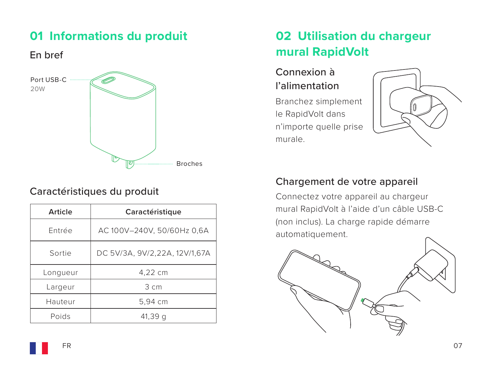## **01 Informations du produit**

En bref



### Caractéristiques du produit

| Article  | Caractéristique               |
|----------|-------------------------------|
| Entrée   | AC 100V-240V, 50/60Hz 0,6A    |
| Sortie   | DC 5V/3A, 9V/2,22A, 12V/1,67A |
| Longueur | 4,22 cm                       |
| Largeur  | $3 \text{ cm}$                |
| Hauteur  | 5,94 cm                       |
| Poids    | 41,39 a                       |

## **02 Utilisation du chargeur mural RapidVolt**

### Connexion à l'alimentation

Branchez simplement le RapidVolt dans n'importe quelle prise murale.



#### Chargement de votre appareil

Connectez votre appareil au chargeur mural RapidVolt à l'aide d'un câble USB-C (non inclus). La charge rapide démarre automatiquement.



FR  $^{0}$  FR  $^{07}$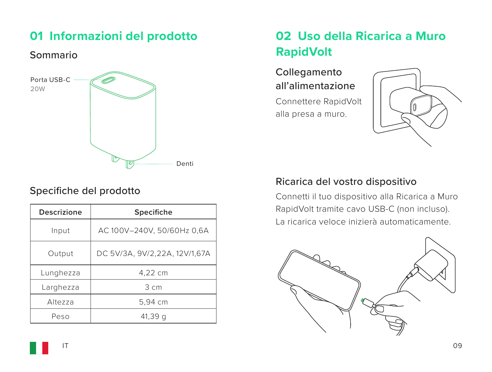## **01 Informazioni del prodotto**

#### Sommario



### Specifiche del prodotto

| <b>Descrizione</b> | Specifiche                    |
|--------------------|-------------------------------|
| Input              | AC 100V-240V, 50/60Hz 0,6A    |
| Output             | DC 5V/3A, 9V/2,22A, 12V/1,67A |
| Lunghezza          | 4,22 cm                       |
| Larghezza          | $3 \text{ cm}$                |
| Altezza            | 5,94 cm                       |
| Peso               | 41,39 a                       |

## **02 Uso della Ricarica a Muro RapidVolt**

Collegamento all'alimentazione

Connettere RapidVolt alla presa a muro.



#### Ricarica del vostro dispositivo

Connetti il tuo dispositivo alla Ricarica a Muro RapidVolt tramite cavo USB-C (non incluso). La ricarica veloce inizierà automaticamente.

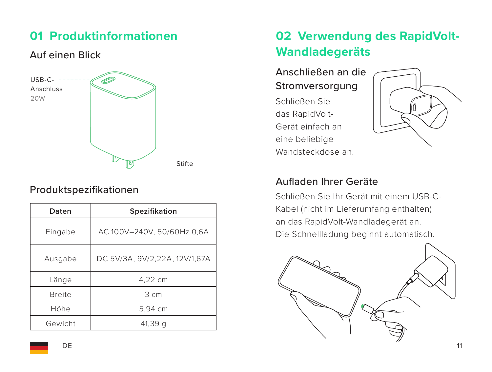## **01 Produktinformationen**

### Auf einen Blick



### Produktspezifikationen

| Daten         | Spezifikation                 |
|---------------|-------------------------------|
| Eingabe       | AC 100V-240V, 50/60Hz 0,6A    |
| Ausgabe       | DC 5V/3A, 9V/2,22A, 12V/1,67A |
| Länge         | 4.22 cm                       |
| <b>Breite</b> | 3 <sub>cm</sub>               |
| Höhe          | 5,94 cm                       |
| Gewicht       | 41,39q                        |

## **02 Verwendung des RapidVolt-Wandladegeräts**

#### Anschließen an die Stromversorgung

Schließen Sie das RapidVolt-Gerät einfach an eine beliebige Wandsteckdose an.



#### Aufladen Ihrer Geräte

Schließen Sie Ihr Gerät mit einem USB-C-Kabel (nicht im Lieferumfang enthalten) an das RapidVolt-Wandladegerät an. Die Schnellladung beginnt automatisch.

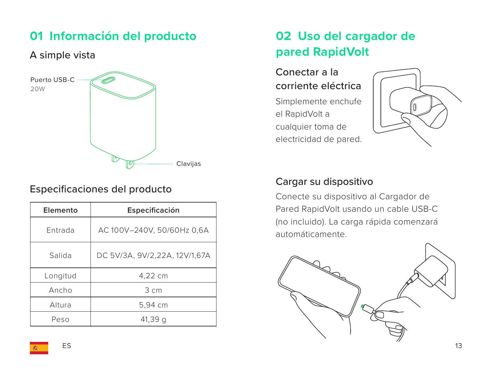## **01 Información del producto**

#### A simple vista



#### Especificaciones del producto

| Elemento | Especificación                |
|----------|-------------------------------|
| Entrada  | AC 100V-240V, 50/60Hz 0,6A    |
| Salida   | DC 5V/3A, 9V/2,22A, 12V/1,67A |
| Longitud | 4.22 cm                       |
| Ancho    | $3 \text{ cm}$                |
| Altura   | 5,94 cm                       |
| Peso     | 41,39 a                       |

## **02 Uso del cargador de pared RapidVolt**

Conectar a la corriente eléctrica

Simplemente enchufe el RapidVolt a cualquier toma de electricidad de pared.



#### Cargar su dispositivo

Conecte su dispositivo al Cargador de Pared RapidVolt usando un cable USB-C (no incluido). La carga rápida comenzará automáticamente.

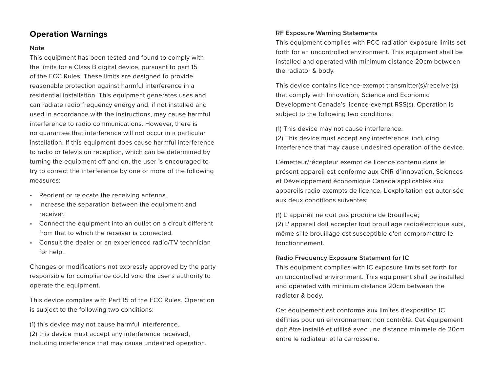#### **Note**

This equipment has been tested and found to comply with the limits for a Class B digital device, pursuant to part 15 of the FCC Rules. These limits are designed to provide reasonable protection against harmful interference in a residential installation. This equipment generates uses and can radiate radio frequency energy and, if not installed and used in accordance with the instructions, may cause harmful interference to radio communications. However, there is no guarantee that interference will not occur in a particular installation. If this equipment does cause harmful interference to radio or television reception, which can be determined by turning the equipment off and on, the user is encouraged to try to correct the interference by one or more of the following measures:

- Reorient or relocate the receiving antenna.
- Increase the separation between the equipment and receiver.
- Connect the equipment into an outlet on a circuit different from that to which the receiver is connected.
- Consult the dealer or an experienced radio/TV technician for help.

Changes or modifications not expressly approved by the party responsible for compliance could void the user's authority to operate the equipment.

This device complies with Part 15 of the FCC Rules. Operation is subject to the following two conditions:

(1) this device may not cause harmful interference. (2) this device must accept any interference received, including interference that may cause undesired operation.

#### **Operation Warnings RE Exposure Warning Statements RE** Exposure Warning Statements

This equipment complies with FCC radiation exposure limits set forth for an uncontrolled environment. This equipment shall be installed and operated with minimum distance 20cm between the radiator & body.

This device contains licence-exempt transmitter(s)/receiver(s) that comply with Innovation, Science and Economic Development Canada's licence-exempt RSS(s). Operation is subject to the following two conditions:

(1) This device may not cause interference. (2) This device must accept any interference, including interference that may cause undesired operation of the device.

L'émetteur/récepteur exempt de licence contenu dans le présent appareil est conforme aux CNR d'Innovation, Sciences et Développement économique Canada applicables aux appareils radio exempts de licence. L'exploitation est autorisée aux deux conditions suivantes:

(1) L' appareil ne doit pas produire de brouillage; (2) L' appareil doit accepter tout brouillage radioélectrique subi, même si le brouillage est susceptible d'en compromettre le fonctionnement.

#### **Radio Frequency Exposure Statement for IC**

This equipment complies with IC exposure limits set forth for an uncontrolled environment. This equipment shall be installed and operated with minimum distance 20cm between the radiator & body.

Cet équipement est conforme aux limites d'exposition IC définies pour un environnement non contrôlé. Cet équipement doit être installé et utilisé avec une distance minimale de 20cm entre le radiateur et la carrosserie.